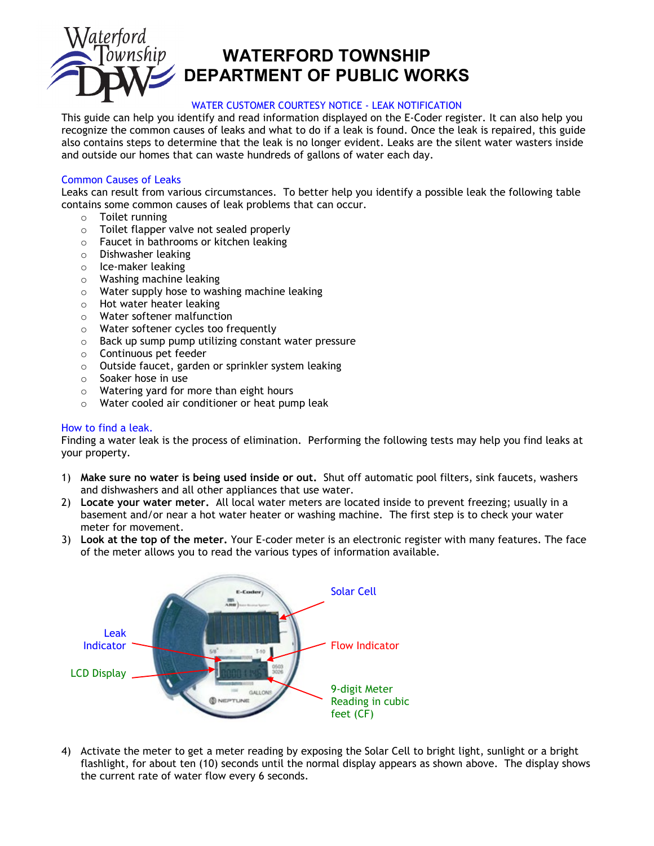

## **WATERFORD TOWNSHIP DEPARTMENT OF PUBLIC WORKS**

## WATER CUSTOMER COURTESY NOTICE - LEAK NOTIFICATION

This guide can help you identify and read information displayed on the E-Coder register. It can also help you recognize the common causes of leaks and what to do if a leak is found. Once the leak is repaired, this guide also contains steps to determine that the leak is no longer evident. Leaks are the silent water wasters inside and outside our homes that can waste hundreds of gallons of water each day.

## Common Causes of Leaks

Leaks can result from various circumstances. To better help you identify a possible leak the following table contains some common causes of leak problems that can occur.

- 
- o Toilet running  $\circ$  Toilet flapper valve not sealed properly  $\circ$  Faucet in bathrooms or kitchen leaking
- Faucet in bathrooms or kitchen leaking
- o Dishwasher leaking
- o Ice-maker leaking
- $\circ$  Washing machine leaking<br> $\circ$  Water supply hose to was
- Water supply hose to washing machine leaking
- $\circ$  Hot water heater leaking<br> $\circ$  Water softener malfunction
- Water softener malfunction
- $\circ$  Water softener cycles too frequently<br> $\circ$  Back up sump pump utilizing constant
- Back up sump pump utilizing constant water pressure
- 
- o Continuous pet feeder<br>
o Outside faucet. garden Outside faucet, garden or sprinkler system leaking
- o Soaker hose in use
- o Watering yard for more than eight hours
- o Water cooled air conditioner or heat pump leak

## How to find a leak.

Finding a water leak is the process of elimination. Performing the following tests may help you find leaks at your property.

- 1) **Make sure no water is being used inside or out.** Shut off automatic pool filters, sink faucets, washers and dishwashers and all other appliances that use water.
- 2) **Locate your water meter.** All local water meters are located inside to prevent freezing; usually in a basement and/or near a hot water heater or washing machine. The first step is to check your water meter for movement.
- 3) **Look at the top of the meter.** Your E-coder meter is an electronic register with many features. The face of the meter allows you to read the various types of information available.



4) Activate the meter to get a meter reading by exposing the Solar Cell to bright light, sunlight or a bright flashlight, for about ten (10) seconds until the normal display appears as shown above. The display shows the current rate of water flow every 6 seconds.